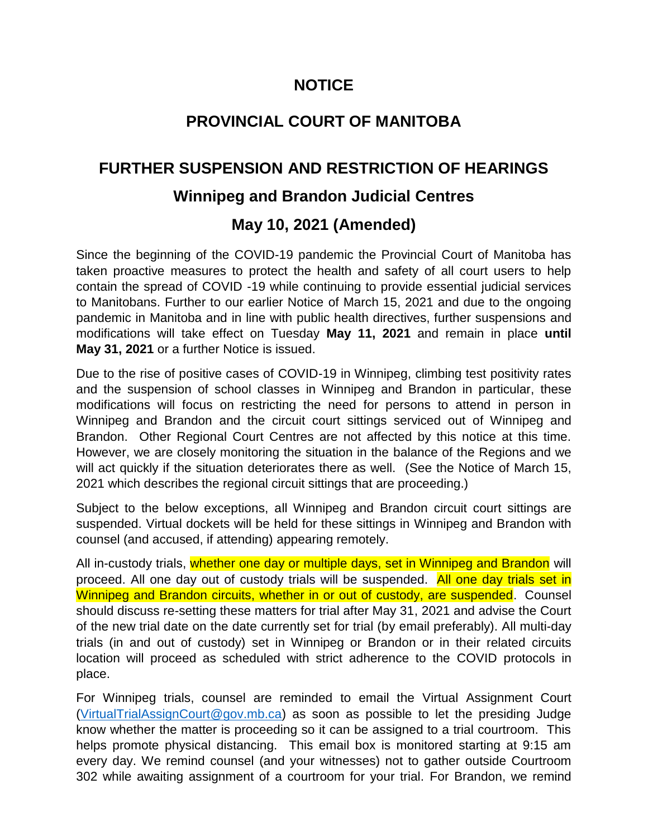## **NOTICE**

# **PROVINCIAL COURT OF MANITOBA**

# **FURTHER SUSPENSION AND RESTRICTION OF HEARINGS**

### **Winnipeg and Brandon Judicial Centres**

### **May 10, 2021 (Amended)**

Since the beginning of the COVID-19 pandemic the Provincial Court of Manitoba has taken proactive measures to protect the health and safety of all court users to help contain the spread of COVID -19 while continuing to provide essential judicial services to Manitobans. Further to our earlier Notice of March 15, 2021 and due to the ongoing pandemic in Manitoba and in line with public health directives, further suspensions and modifications will take effect on Tuesday **May 11, 2021** and remain in place **until May 31, 2021** or a further Notice is issued.

Due to the rise of positive cases of COVID-19 in Winnipeg, climbing test positivity rates and the suspension of school classes in Winnipeg and Brandon in particular, these modifications will focus on restricting the need for persons to attend in person in Winnipeg and Brandon and the circuit court sittings serviced out of Winnipeg and Brandon. Other Regional Court Centres are not affected by this notice at this time. However, we are closely monitoring the situation in the balance of the Regions and we will act quickly if the situation deteriorates there as well. (See the Notice of March 15, 2021 which describes the regional circuit sittings that are proceeding.)

Subject to the below exceptions, all Winnipeg and Brandon circuit court sittings are suspended. Virtual dockets will be held for these sittings in Winnipeg and Brandon with counsel (and accused, if attending) appearing remotely.

All in-custody trials, whether one day or multiple days, set in Winnipeg and Brandon will proceed. All one day out of custody trials will be suspended. All one day trials set in Winnipeg and Brandon circuits, whether in or out of custody, are suspended. Counsel should discuss re-setting these matters for trial after May 31, 2021 and advise the Court of the new trial date on the date currently set for trial (by email preferably). All multi-day trials (in and out of custody) set in Winnipeg or Brandon or in their related circuits location will proceed as scheduled with strict adherence to the COVID protocols in place.

For Winnipeg trials, counsel are reminded to email the Virtual Assignment Court [\(VirtualTrialAssignCourt@gov.mb.ca\)](mailto:VirtualTrialAssignCourt@gov.mb.ca) as soon as possible to let the presiding Judge know whether the matter is proceeding so it can be assigned to a trial courtroom. This helps promote physical distancing. This email box is monitored starting at 9:15 am every day. We remind counsel (and your witnesses) not to gather outside Courtroom 302 while awaiting assignment of a courtroom for your trial. For Brandon, we remind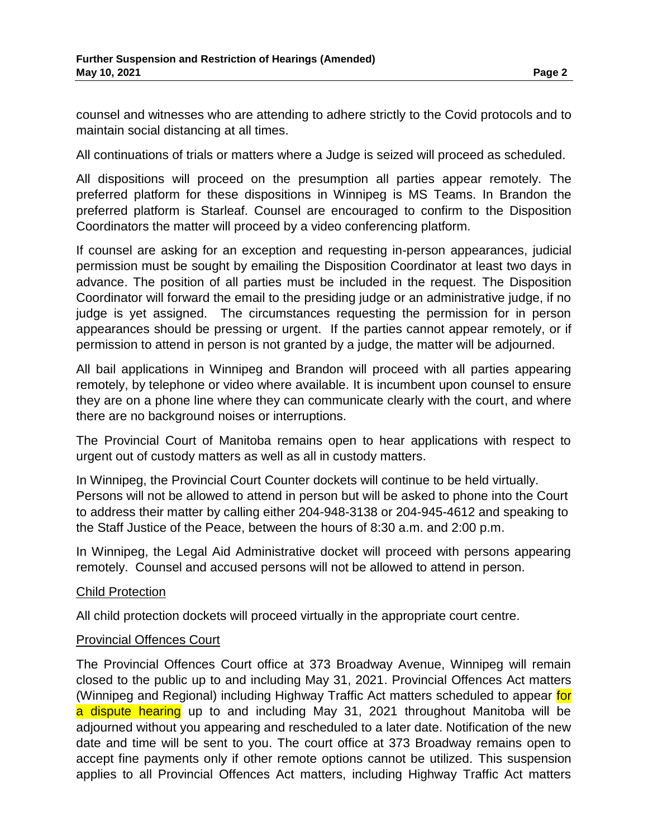counsel and witnesses who are attending to adhere strictly to the Covid protocols and to maintain social distancing at all times.

All continuations of trials or matters where a Judge is seized will proceed as scheduled.

All dispositions will proceed on the presumption all parties appear remotely. The preferred platform for these dispositions in Winnipeg is MS Teams. In Brandon the preferred platform is Starleaf. Counsel are encouraged to confirm to the Disposition Coordinators the matter will proceed by a video conferencing platform.

If counsel are asking for an exception and requesting in-person appearances, judicial permission must be sought by emailing the Disposition Coordinator at least two days in advance. The position of all parties must be included in the request. The Disposition Coordinator will forward the email to the presiding judge or an administrative judge, if no judge is yet assigned. The circumstances requesting the permission for in person appearances should be pressing or urgent. If the parties cannot appear remotely, or if permission to attend in person is not granted by a judge, the matter will be adjourned.

All bail applications in Winnipeg and Brandon will proceed with all parties appearing remotely, by telephone or video where available. It is incumbent upon counsel to ensure they are on a phone line where they can communicate clearly with the court, and where there are no background noises or interruptions.

The Provincial Court of Manitoba remains open to hear applications with respect to urgent out of custody matters as well as all in custody matters.

In Winnipeg, the Provincial Court Counter dockets will continue to be held virtually. Persons will not be allowed to attend in person but will be asked to phone into the Court to address their matter by calling either 204-948-3138 or 204-945-4612 and speaking to the Staff Justice of the Peace, between the hours of 8:30 a.m. and 2:00 p.m.

In Winnipeg, the Legal Aid Administrative docket will proceed with persons appearing remotely. Counsel and accused persons will not be allowed to attend in person.

### Child Protection

All child protection dockets will proceed virtually in the appropriate court centre.

#### Provincial Offences Court

The Provincial Offences Court office at 373 Broadway Avenue, Winnipeg will remain closed to the public up to and including May 31, 2021. Provincial Offences Act matters (Winnipeg and Regional) including Highway Traffic Act matters scheduled to appear for a dispute hearing up to and including May 31, 2021 throughout Manitoba will be adjourned without you appearing and rescheduled to a later date. Notification of the new date and time will be sent to you. The court office at 373 Broadway remains open to accept fine payments only if other remote options cannot be utilized. This suspension applies to all Provincial Offences Act matters, including Highway Traffic Act matters